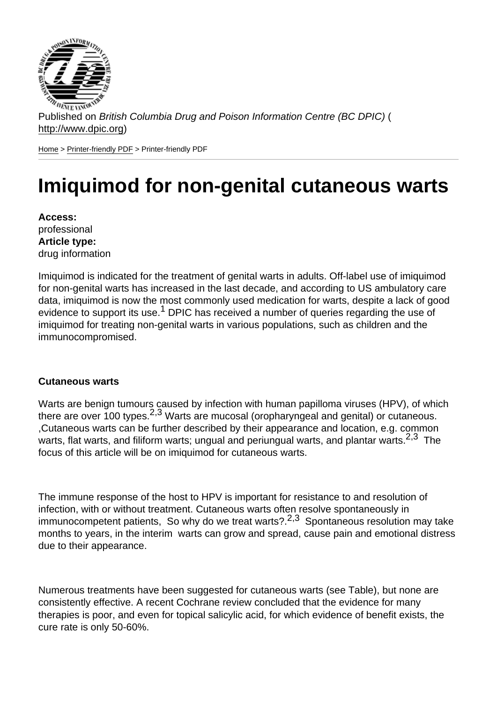Published on British Columbia Drug and Poison Information Centre (BC DPIC) ( http://www.dpic.org)

Home > Printer-friendly PDF > Printer-friendly PDF

# [Im](http://www.dpic.org/)i[quimod](http://www.dpic.org/printpdf) for non-genital cutaneous warts

Access: professional Article type: drug information

Imiquimod is indicated for the treatment of genital warts in adults. Off-label use of imiquimod for non-genital warts has increased in the last decade, and according to US ambulatory care data, imiquimod is now the most commonly used medication for warts, despite a lack of good evidence to support its use.<sup>1</sup> DPIC has received a number of queries regarding the use of imiquimod for treating non-genital warts in various populations, such as children and the immunocompromised.

#### Cutaneous warts

Warts are benign tumours caused by infection with human papilloma viruses (HPV), of which there are over 100 types.<sup>2,3</sup> Warts are mucosal (oropharyngeal and genital) or cutaneous. ,Cutaneous warts can be further described by their appearance and location, e.g. common warts, flat warts, and filiform warts; ungual and periungual warts, and plantar warts.<sup>2,3</sup> The focus of this article will be on imiquimod for cutaneous warts.

The immune response of the host to HPV is important for resistance to and resolution of infection, with or without treatment. Cutaneous warts often resolve spontaneously in immunocompetent patients, So why do we treat warts?.<sup>2,3</sup> Spontaneous resolution may take months to years, in the interim warts can grow and spread, cause pain and emotional distress due to their appearance.

Numerous treatments have been suggested for cutaneous warts (see Table), but none are consistently effective. A recent Cochrane review concluded that the evidence for many therapies is poor, and even for topical salicylic acid, for which evidence of benefit exists, the cure rate is only 50-60%.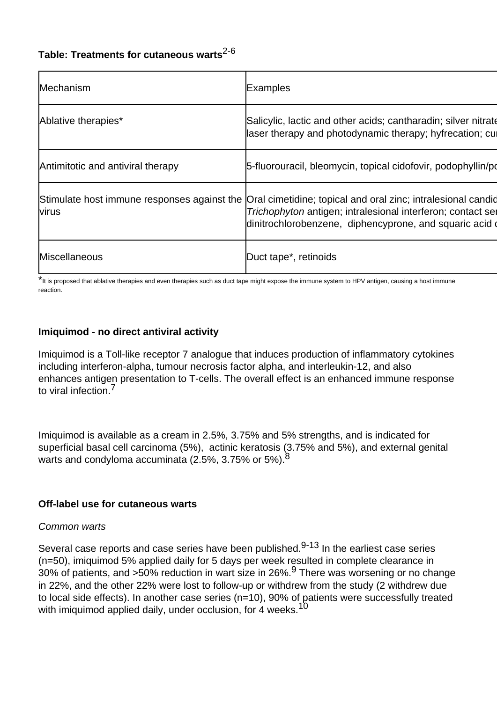# **Table: Treatments for cutaneous warts**2-6

| Mechanism                         | Examples                                                                                                                                                                                                                            |
|-----------------------------------|-------------------------------------------------------------------------------------------------------------------------------------------------------------------------------------------------------------------------------------|
| Ablative therapies*               | Salicylic, lactic and other acids; cantharadin; silver nitrate<br>laser therapy and photodynamic therapy; hyfrecation; cull                                                                                                         |
| Antimitotic and antiviral therapy | 5-fluorouracil, bleomycin, topical cidofovir, podophyllin/po                                                                                                                                                                        |
| <b>virus</b>                      | Stimulate host immune responses against the Oral cimetidine; topical and oral zinc; intralesional candid<br>Trichophyton antigen; intralesional interferon; contact ser<br>dinitrochlorobenzene, diphencyprone, and squaric acid of |
| Miscellaneous                     | Duct tape <sup>*</sup> , retinoids                                                                                                                                                                                                  |

\*It is proposed that ablative therapies and even therapies such as duct tape might expose the immune system to HPV antigen, causing a host immune reaction.

## **Imiquimod - no direct antiviral activity**

Imiquimod is a Toll-like receptor 7 analogue that induces production of inflammatory cytokines including interferon-alpha, tumour necrosis factor alpha, and interleukin-12, and also enhances antigen presentation to T-cells. The overall effect is an enhanced immune response to viral infection.<sup>7</sup>

Imiquimod is available as a cream in 2.5%, 3.75% and 5% strengths, and is indicated for superficial basal cell carcinoma (5%), actinic keratosis (3.75% and 5%), and external genital warts and condyloma accuminata (2.5%, 3.75% or 5%).<sup>8</sup>

#### **Off-label use for cutaneous warts**

#### Common warts

Several case reports and case series have been published.<sup>9-13</sup> In the earliest case series (n=50), imiquimod 5% applied daily for 5 days per week resulted in complete clearance in  $30\%$  of patients, and >50% reduction in wart size in 26%.<sup>9</sup> There was worsening or no change in 22%, and the other 22% were lost to follow-up or withdrew from the study (2 withdrew due to local side effects). In another case series (n=10), 90% of patients were successfully treated with imiguimod applied daily, under occlusion, for 4 weeks.<sup>10</sup>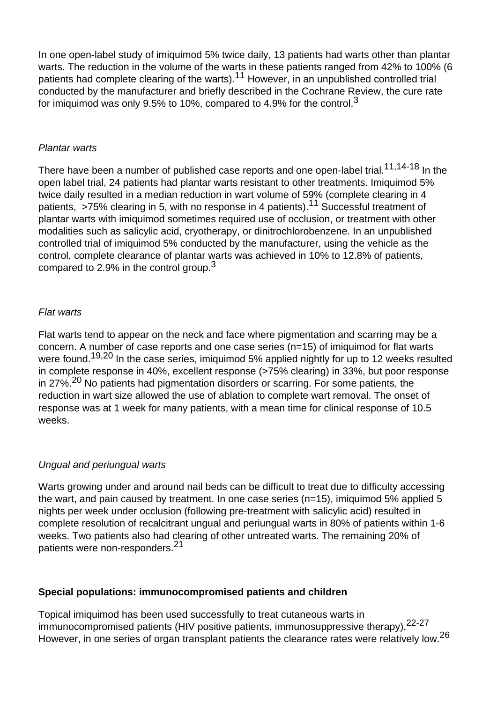In one open-label study of imiquimod 5% twice daily, 13 patients had warts other than plantar warts. The reduction in the volume of the warts in these patients ranged from 42% to 100% (6 patients had complete clearing of the warts).<sup>11</sup> However, in an unpublished controlled trial conducted by the manufacturer and briefly described in the Cochrane Review, the cure rate for imiquimod was only 9.5% to 10%, compared to 4.9% for the control.<sup>3</sup>

#### Plantar warts

There have been a number of published case reports and one open-label trial.<sup>11,14-18</sup> In the open label trial, 24 patients had plantar warts resistant to other treatments. Imiquimod 5% twice daily resulted in a median reduction in wart volume of 59% (complete clearing in 4 patients, >75% clearing in 5, with no response in 4 patients).<sup>11</sup> Successful treatment of plantar warts with imiquimod sometimes required use of occlusion, or treatment with other modalities such as salicylic acid, cryotherapy, or dinitrochlorobenzene. In an unpublished controlled trial of imiquimod 5% conducted by the manufacturer, using the vehicle as the control, complete clearance of plantar warts was achieved in 10% to 12.8% of patients, compared to 2.9% in the control group.<sup>3</sup>

## Flat warts

Flat warts tend to appear on the neck and face where pigmentation and scarring may be a concern. A number of case reports and one case series (n=15) of imiquimod for flat warts were found.<sup>19,20</sup> In the case series, imiguimod 5% applied nightly for up to 12 weeks resulted in complete response in 40%, excellent response (>75% clearing) in 33%, but poor response in 27%.<sup>20</sup> No patients had pigmentation disorders or scarring. For some patients, the reduction in wart size allowed the use of ablation to complete wart removal. The onset of response was at 1 week for many patients, with a mean time for clinical response of 10.5 weeks.

## Ungual and periungual warts

Warts growing under and around nail beds can be difficult to treat due to difficulty accessing the wart, and pain caused by treatment. In one case series (n=15), imiquimod 5% applied 5 nights per week under occlusion (following pre-treatment with salicylic acid) resulted in complete resolution of recalcitrant ungual and periungual warts in 80% of patients within 1-6 weeks. Two patients also had clearing of other untreated warts. The remaining 20% of patients were non-responders.<sup>21</sup>

## **Special populations: immunocompromised patients and children**

Topical imiquimod has been used successfully to treat cutaneous warts in immunocompromised patients (HIV positive patients, immunosuppressive therapy), <sup>22-27</sup> However, in one series of organ transplant patients the clearance rates were relatively low.<sup>26</sup>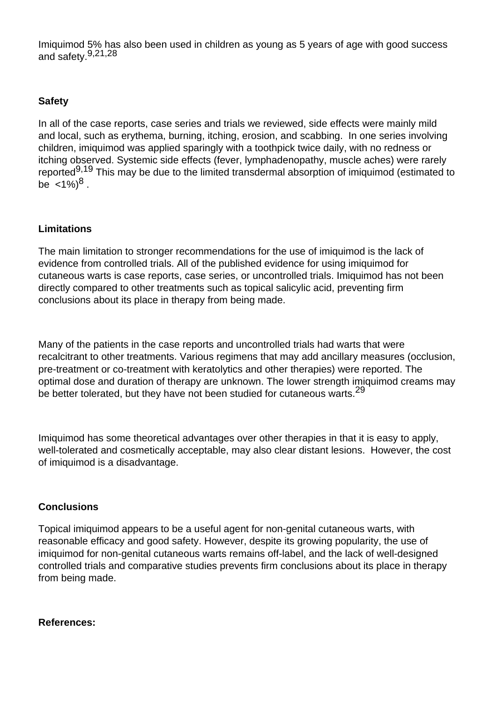Imiquimod 5% has also been used in children as young as 5 years of age with good success and safety.<sup>9,21,28</sup>

# **Safety**

In all of the case reports, case series and trials we reviewed, side effects were mainly mild and local, such as erythema, burning, itching, erosion, and scabbing. In one series involving children, imiquimod was applied sparingly with a toothpick twice daily, with no redness or itching observed. Systemic side effects (fever, lymphadenopathy, muscle aches) were rarely reported<sup>9,19</sup> This may be due to the limited transdermal absorption of imiquimod (estimated to be  $\langle 1\% \rangle^8$  .

## **Limitations**

The main limitation to stronger recommendations for the use of imiquimod is the lack of evidence from controlled trials. All of the published evidence for using imiquimod for cutaneous warts is case reports, case series, or uncontrolled trials. Imiquimod has not been directly compared to other treatments such as topical salicylic acid, preventing firm conclusions about its place in therapy from being made.

Many of the patients in the case reports and uncontrolled trials had warts that were recalcitrant to other treatments. Various regimens that may add ancillary measures (occlusion, pre-treatment or co-treatment with keratolytics and other therapies) were reported. The optimal dose and duration of therapy are unknown. The lower strength imiquimod creams may be better tolerated, but they have not been studied for cutaneous warts.<sup>29</sup>

Imiquimod has some theoretical advantages over other therapies in that it is easy to apply, well-tolerated and cosmetically acceptable, may also clear distant lesions. However, the cost of imiquimod is a disadvantage.

## **Conclusions**

Topical imiquimod appears to be a useful agent for non-genital cutaneous warts, with reasonable efficacy and good safety. However, despite its growing popularity, the use of imiquimod for non-genital cutaneous warts remains off-label, and the lack of well-designed controlled trials and comparative studies prevents firm conclusions about its place in therapy from being made.

## **References:**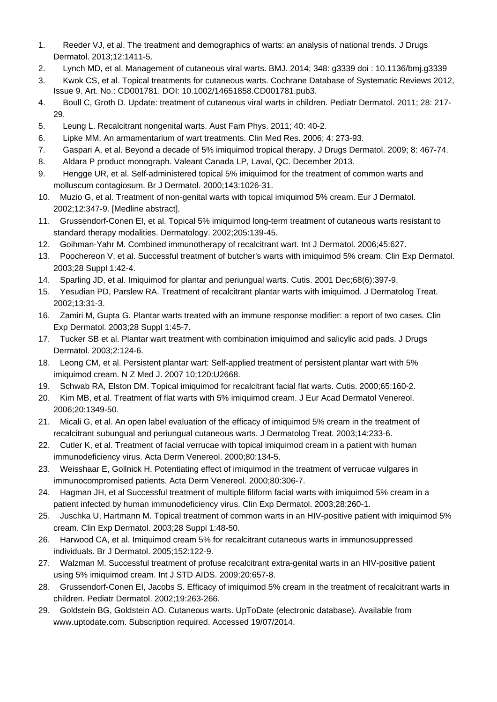- 1. Reeder VJ, et al. The treatment and demographics of warts: an analysis of national trends. J Drugs Dermatol. 2013;12:1411-5.
- 2. Lynch MD, et al. Management of cutaneous viral warts. BMJ. 2014; 348: g3339 doi : 10.1136/bmj.g3339
- 3. Kwok CS, et al. Topical treatments for cutaneous warts. Cochrane Database of Systematic Reviews 2012, Issue 9. Art. No.: CD001781. DOI: 10.1002/14651858.CD001781.pub3.
- 4. Boull C, Groth D. Update: treatment of cutaneous viral warts in children. Pediatr Dermatol. 2011; 28: 217- 29.
- 5. Leung L. Recalcitrant nongenital warts. Aust Fam Phys. 2011; 40: 40-2.
- 6. Lipke MM. An armamentarium of wart treatments. Clin Med Res. 2006; 4: 273-93.
- 7. Gaspari A, et al. Beyond a decade of 5% imiquimod tropical therapy. J Drugs Dermatol. 2009; 8: 467-74.
- 8. Aldara P product monograph. Valeant Canada LP, Laval, QC. December 2013.
- 9. Hengge UR, et al. Self-administered topical 5% imiquimod for the treatment of common warts and molluscum contagiosum. Br J Dermatol. 2000;143:1026-31.
- 10. Muzio G, et al. Treatment of non-genital warts with topical imiquimod 5% cream. Eur J Dermatol. 2002;12:347-9. [Medline abstract].
- 11. Grussendorf-Conen EI, et al. Topical 5% imiquimod long-term treatment of cutaneous warts resistant to standard therapy modalities. Dermatology. 2002;205:139-45.
- 12. Goihman-Yahr M. Combined immunotherapy of recalcitrant wart. Int J Dermatol. 2006;45:627.
- 13. Poochereon V, et al. Successful treatment of butcher's warts with imiquimod 5% cream. Clin Exp Dermatol. 2003;28 Suppl 1:42-4.
- 14. Sparling JD, et al. Imiquimod for plantar and periungual warts. Cutis. 2001 Dec;68(6):397-9.
- 15. Yesudian PD, Parslew RA. Treatment of recalcitrant plantar warts with imiquimod. J Dermatolog Treat. 2002;13:31-3.
- 16. Zamiri M, Gupta G. Plantar warts treated with an immune response modifier: a report of two cases. Clin Exp Dermatol. 2003;28 Suppl 1:45-7.
- 17. Tucker SB et al. Plantar wart treatment with combination imiquimod and salicylic acid pads. J Drugs Dermatol. 2003;2:124-6.
- 18. Leong CM, et al. Persistent plantar wart: Self-applied treatment of persistent plantar wart with 5% imiquimod cream. N Z Med J. 2007 10;120:U2668.
- 19. Schwab RA, Elston DM. Topical imiquimod for recalcitrant facial flat warts. Cutis. 2000;65:160-2.
- 20. Kim MB, et al. Treatment of flat warts with 5% imiquimod cream. J Eur Acad Dermatol Venereol. 2006;20:1349-50.
- 21. Micali G, et al. An open label evaluation of the efficacy of imiquimod 5% cream in the treatment of recalcitrant subungual and periungual cutaneous warts. J Dermatolog Treat. 2003;14:233-6.
- 22. Cutler K, et al. Treatment of facial verrucae with topical imiquimod cream in a patient with human immunodeficiency virus. Acta Derm Venereol. 2000;80:134-5.
- 23. Weisshaar E, Gollnick H. Potentiating effect of imiquimod in the treatment of verrucae vulgares in immunocompromised patients. Acta Derm Venereol. 2000;80:306-7.
- 24. Hagman JH, et al Successful treatment of multiple filiform facial warts with imiquimod 5% cream in a patient infected by human immunodeficiency virus. Clin Exp Dermatol. 2003;28:260-1.
- 25. Juschka U, Hartmann M. Topical treatment of common warts in an HIV-positive patient with imiquimod 5% cream. Clin Exp Dermatol. 2003;28 Suppl 1:48-50.
- 26. Harwood CA, et al. Imiquimod cream 5% for recalcitrant cutaneous warts in immunosuppressed individuals. Br J Dermatol. 2005;152:122-9.
- 27. Walzman M. Successful treatment of profuse recalcitrant extra-genital warts in an HIV-positive patient using 5% imiquimod cream. Int J STD AIDS. 2009;20:657-8.
- 28. Grussendorf-Conen EI, Jacobs S. Efficacy of imiquimod 5% cream in the treatment of recalcitrant warts in children. Pediatr Dermatol. 2002;19:263-266.
- 29. Goldstein BG, Goldstein AO. Cutaneous warts. UpToDate (electronic database). Available from www.uptodate.com. Subscription required. Accessed 19/07/2014.